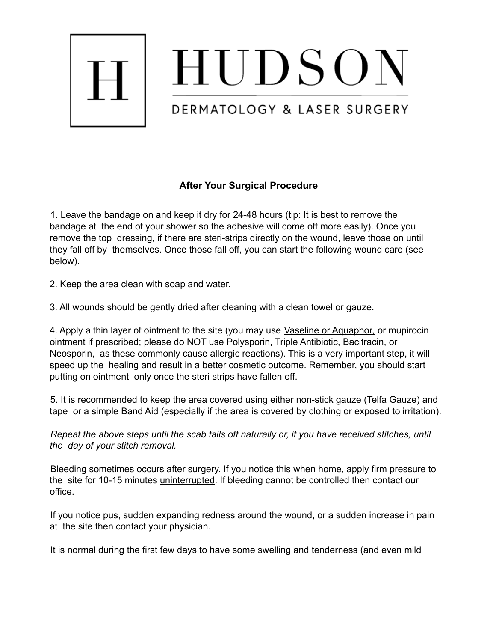

HUDSON

## DERMATOLOGY & LASER SURGERY

## **After Your Surgical Procedure**

1. Leave the bandage on and keep it dry for 24-48 hours (tip: It is best to remove the bandage at the end of your shower so the adhesive will come off more easily). Once you remove the top dressing, if there are steri-strips directly on the wound, leave those on until they fall off by themselves. Once those fall off, you can start the following wound care (see below).

2. Keep the area clean with soap and water.

3. All wounds should be gently dried after cleaning with a clean towel or gauze.

4. Apply a thin layer of ointment to the site (you may use Vaseline or Aquaphor, or mupirocin ointment if prescribed; please do NOT use Polysporin, Triple Antibiotic, Bacitracin, or Neosporin, as these commonly cause allergic reactions). This is a very important step, it will speed up the healing and result in a better cosmetic outcome. Remember, you should start putting on ointment only once the steri strips have fallen off.

5. It is recommended to keep the area covered using either non-stick gauze (Telfa Gauze) and tape or a simple Band Aid (especially if the area is covered by clothing or exposed to irritation).

*Repeat the above steps until the scab falls off naturally or, if you have received stitches, until the day of your stitch removal.*

Bleeding sometimes occurs after surgery. If you notice this when home, apply firm pressure to the site for 10-15 minutes uninterrupted. If bleeding cannot be controlled then contact our office.

If you notice pus, sudden expanding redness around the wound, or a sudden increase in pain at the site then contact your physician.

It is normal during the first few days to have some swelling and tenderness (and even mild